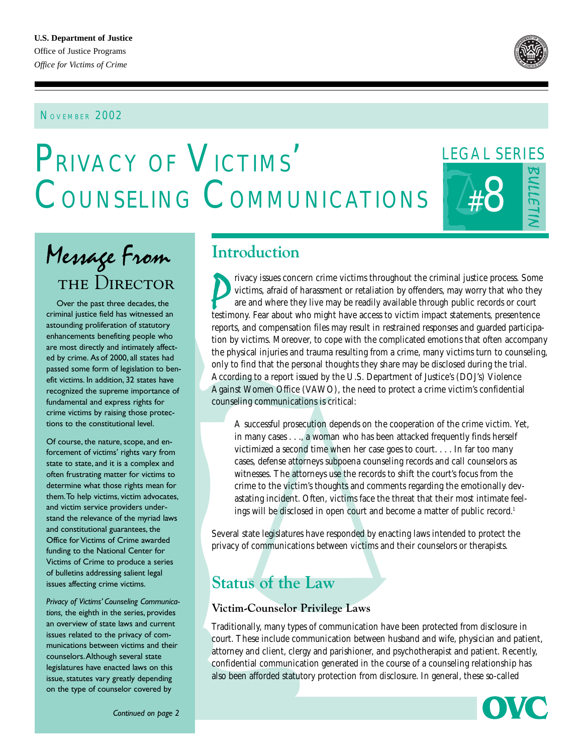#### NOVEMBER 2002



# PRIVACY OF VICTIMS' COUNSELING COMMUNICATIONS

## LEGAL SERIES**BULLETIN**  $\frac{1}{\#8}$

## Message From THE DIRECTOR

Over the past three decades, the criminal justice field has witnessed an astounding proliferation of statutory enhancements benefiting people who are most directly and intimately affected by crime. As of 2000, all states had passed some form of legislation to benefit victims. In addition, 32 states have recognized the supreme importance of fundamental and express rights for crime victims by raising those protections to the constitutional level.

Of course, the nature, scope, and enforcement of victims' rights vary from state to state, and it is a complex and often frustrating matter for victims to determine what those rights mean for them.To help victims, victim advocates, and victim service providers understand the relevance of the myriad laws and constitutional guarantees, the Office for Victims of Crime awarded funding to the National Center for Victims of Crime to produce a series of bulletins addressing salient legal issues affecting crime victims.

*Privacy of Victims' Counseling Communications,* the eighth in the series, provides an overview of state laws and current issues related to the privacy of communications between victims and their counselors.Although several state legislatures have enacted laws on this issue, statutes vary greatly depending on the type of counselor covered by

## **Introduction**

Fivacy issues concern crime victims throughout the criminal justice process. Some victims, afraid of harassment or retaliation by offenders, may worry that who they are and where they live may be readily available through rivacy issues concern crime victims throughout the criminal justice process. Some victims, afraid of harassment or retaliation by offenders, may worry that who they are and where they live may be readily available through public records or court reports, and compensation files may result in restrained responses and guarded participation by victims. Moreover, to cope with the complicated emotions that often accompany the physical injuries and trauma resulting from a crime, many victims turn to counseling, only to find that the personal thoughts they share may be disclosed during the trial. According to a report issued by the U.S. Department of Justice's (DOJ's) Violence Against Women Office (VAWO), the need to protect a crime victim's confidential counseling communications is critical:

A successful prosecution depends on the cooperation of the crime victim. Yet, in many cases . . ., a woman who has been attacked frequently finds herself victimized a second time when her case goes to court. . . . In far too many cases, defense attorneys subpoena counseling records and call counselors as witnesses. The attorneys use the records to shift the court's focus from the crime to the victim's thoughts and comments regarding the emotionally devastating incident. Often, victims face the threat that their most intimate feelings will be disclosed in open court and become a matter of public record.<sup>1</sup>

Several state legislatures have responded by enacting laws intended to protect the privacy of communications between victims and their counselors or therapists.

## **Status of the Law**

#### **Victim-Counselor Privilege Laws**

Traditionally, many types of communication have been protected from disclosure in court. These include communication between husband and wife, physician and patient, attorney and client, clergy and parishioner, and psychotherapist and patient. Recently, confidential communication generated in the course of a counseling relationship has also been afforded statutory protection from disclosure. In general, these so-called

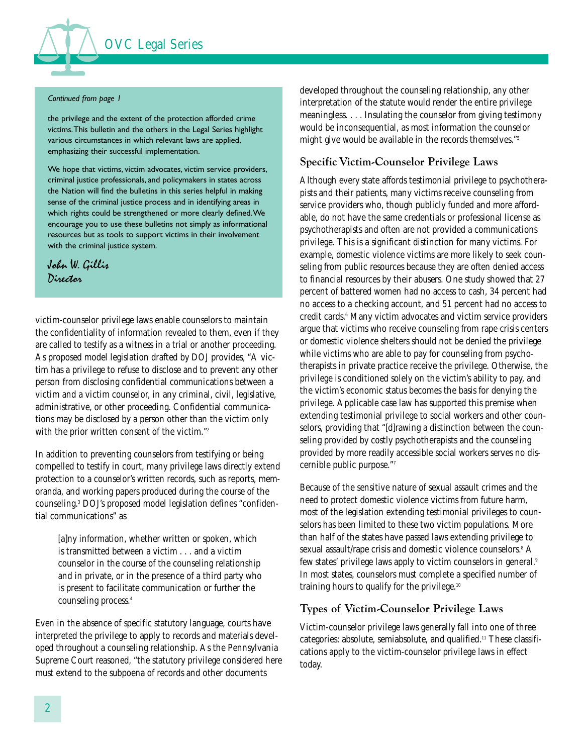

#### *Continued from page 1*

the privilege and the extent of the protection afforded crime victims.This bulletin and the others in the Legal Series highlight various circumstances in which relevant laws are applied, emphasizing their successful implementation.

We hope that victims, victim advocates, victim service providers, criminal justice professionals, and policymakers in states across the Nation will find the bulletins in this series helpful in making sense of the criminal justice process and in identifying areas in which rights could be strengthened or more clearly defined.We encourage you to use these bulletins not simply as informational resources but as tools to support victims in their involvement with the criminal justice system.

John W. Gillis Director

victim-counselor privilege laws enable counselors to maintain the confidentiality of information revealed to them, even if they are called to testify as a witness in a trial or another proceeding. As proposed model legislation drafted by DOJ provides, "A victim has a privilege to refuse to disclose and to prevent any other person from disclosing confidential communications between a victim and a victim counselor, in any criminal, civil, legislative, administrative, or other proceeding. Confidential communications may be disclosed by a person other than the victim only with the prior written consent of the victim."<sup>2</sup>

In addition to preventing counselors from testifying or being compelled to testify in court, many privilege laws directly extend protection to a counselor's written records, such as reports, memoranda, and working papers produced during the course of the counseling.3 DOJ's proposed model legislation defines "confidential communications" as

[a]ny information, whether written or spoken, which is transmitted between a victim . . . and a victim counselor in the course of the counseling relationship and in private, or in the presence of a third party who is present to facilitate communication or further the counseling process.4

Even in the absence of specific statutory language, courts have interpreted the privilege to apply to records and materials developed throughout a counseling relationship. As the Pennsylvania Supreme Court reasoned, "the statutory privilege considered here must extend to the subpoena of records and other documents

developed throughout the counseling relationship, any other interpretation of the statute would render the entire privilege meaningless. . . . Insulating the counselor from giving testimony would be inconsequential, as most information the counselor might give would be available in the records themselves."5

#### **Specific Victim-Counselor Privilege Laws**

Although every state affords testimonial privilege to psychotherapists and their patients, many victims receive counseling from service providers who, though publicly funded and more affordable, do not have the same credentials or professional license as psychotherapists and often are not provided a communications privilege. This is a significant distinction for many victims. For example, domestic violence victims are more likely to seek counseling from public resources because they are often denied access to financial resources by their abusers. One study showed that 27 percent of battered women had no access to cash, 34 percent had no access to a checking account, and 51 percent had no access to credit cards.<sup>6</sup> Many victim advocates and victim service providers argue that victims who receive counseling from rape crisis centers or domestic violence shelters should not be denied the privilege while victims who are able to pay for counseling from psychotherapists in private practice receive the privilege. Otherwise, the privilege is conditioned solely on the victim's ability to pay, and the victim's economic status becomes the basis for denying the privilege. Applicable case law has supported this premise when extending testimonial privilege to social workers and other counselors, providing that "[d]rawing a distinction between the counseling provided by costly psychotherapists and the counseling provided by more readily accessible social workers serves no discernible public purpose."7

Because of the sensitive nature of sexual assault crimes and the need to protect domestic violence victims from future harm, most of the legislation extending testimonial privileges to counselors has been limited to these two victim populations. More than half of the states have passed laws extending privilege to sexual assault/rape crisis and domestic violence counselors.<sup>8</sup> A few states' privilege laws apply to victim counselors in general.<sup>9</sup> In most states, counselors must complete a specified number of training hours to qualify for the privilege.<sup>10</sup>

#### **Types of Victim-Counselor Privilege Laws**

Victim-counselor privilege laws generally fall into one of three categories: absolute, semiabsolute, and qualified.11 These classifications apply to the victim-counselor privilege laws in effect today.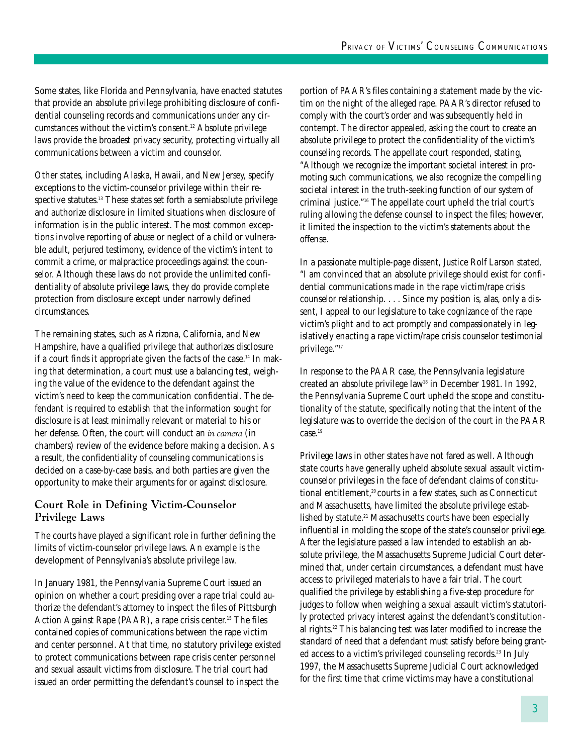Some states, like Florida and Pennsylvania, have enacted statutes that provide an absolute privilege prohibiting disclosure of confidential counseling records and communications under any circumstances without the victim's consent.12 Absolute privilege laws provide the broadest privacy security, protecting virtually all communications between a victim and counselor.

Other states, including Alaska, Hawaii, and New Jersey, specify exceptions to the victim-counselor privilege within their respective statutes.<sup>13</sup> These states set forth a semiabsolute privilege and authorize disclosure in limited situations when disclosure of information is in the public interest. The most common exceptions involve reporting of abuse or neglect of a child or vulnerable adult, perjured testimony, evidence of the victim's intent to commit a crime, or malpractice proceedings against the counselor. Although these laws do not provide the unlimited confidentiality of absolute privilege laws, they do provide complete protection from disclosure except under narrowly defined circumstances.

The remaining states, such as Arizona, California, and New Hampshire, have a qualified privilege that authorizes disclosure if a court finds it appropriate given the facts of the case.<sup>14</sup> In making that determination, a court must use a balancing test, weighing the value of the evidence to the defendant against the victim's need to keep the communication confidential. The defendant is required to establish that the information sought for disclosure is at least minimally relevant or material to his or her defense. Often, the court will conduct an *in camera* (in chambers) review of the evidence before making a decision. As a result, the confidentiality of counseling communications is decided on a case-by-case basis, and both parties are given the opportunity to make their arguments for or against disclosure.

#### **Court Role in Defining Victim-Counselor Privilege Laws**

The courts have played a significant role in further defining the limits of victim-counselor privilege laws. An example is the development of Pennsylvania's absolute privilege law.

In January 1981, the Pennsylvania Supreme Court issued an opinion on whether a court presiding over a rape trial could authorize the defendant's attorney to inspect the files of Pittsburgh Action Against Rape (PAAR), a rape crisis center.<sup>15</sup> The files contained copies of communications between the rape victim and center personnel. At that time, no statutory privilege existed to protect communications between rape crisis center personnel and sexual assault victims from disclosure. The trial court had issued an order permitting the defendant's counsel to inspect the

portion of PAAR's files containing a statement made by the victim on the night of the alleged rape. PAAR's director refused to comply with the court's order and was subsequently held in contempt. The director appealed, asking the court to create an absolute privilege to protect the confidentiality of the victim's counseling records. The appellate court responded, stating, "Although we recognize the important societal interest in promoting such communications, we also recognize the compelling societal interest in the truth-seeking function of our system of criminal justice."16 The appellate court upheld the trial court's ruling allowing the defense counsel to inspect the files; however, it limited the inspection to the victim's statements about the offense.

In a passionate multiple-page dissent, Justice Rolf Larson stated, "I am convinced that an absolute privilege should exist for confidential communications made in the rape victim/rape crisis counselor relationship. . . . Since my position is, alas, only a dissent, I appeal to our legislature to take cognizance of the rape victim's plight and to act promptly and compassionately in legislatively enacting a rape victim/rape crisis counselor testimonial privilege."17

In response to the PAAR case, the Pennsylvania legislature created an absolute privilege law18 in December 1981. In 1992, the Pennsylvania Supreme Court upheld the scope and constitutionality of the statute, specifically noting that the intent of the legislature was to override the decision of the court in the PAAR  $case<sup>19</sup>$ 

Privilege laws in other states have not fared as well. Although state courts have generally upheld absolute sexual assault victimcounselor privileges in the face of defendant claims of constitutional entitlement,<sup>20</sup> courts in a few states, such as Connecticut and Massachusetts, have limited the absolute privilege established by statute.<sup>21</sup> Massachusetts courts have been especially influential in molding the scope of the state's counselor privilege. After the legislature passed a law intended to establish an absolute privilege, the Massachusetts Supreme Judicial Court determined that, under certain circumstances, a defendant must have access to privileged materials to have a fair trial. The court qualified the privilege by establishing a five-step procedure for judges to follow when weighing a sexual assault victim's statutorily protected privacy interest against the defendant's constitutional rights.22 This balancing test was later modified to increase the standard of need that a defendant must satisfy before being granted access to a victim's privileged counseling records.<sup>23</sup> In July 1997, the Massachusetts Supreme Judicial Court acknowledged for the first time that crime victims may have a constitutional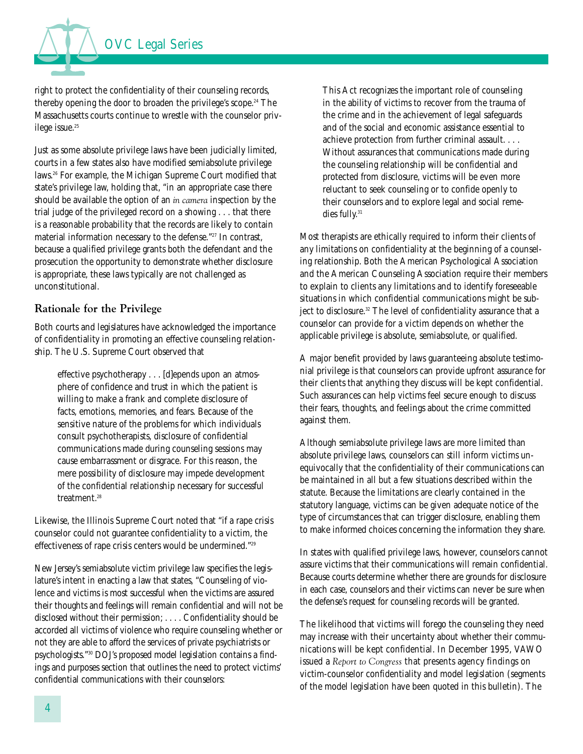right to protect the confidentiality of their counseling records, thereby opening the door to broaden the privilege's scope.<sup>24</sup> The Massachusetts courts continue to wrestle with the counselor privilege issue.<sup>25</sup>

OVC Legal Series

Just as some absolute privilege laws have been judicially limited, courts in a few states also have modified semiabsolute privilege laws.26 For example, the Michigan Supreme Court modified that state's privilege law, holding that, "in an appropriate case there should be available the option of an *in camera* inspection by the trial judge of the privileged record on a showing . . . that there is a reasonable probability that the records are likely to contain material information necessary to the defense."27 In contrast, because a qualified privilege grants both the defendant and the prosecution the opportunity to demonstrate whether disclosure is appropriate, these laws typically are not challenged as unconstitutional.

#### **Rationale for the Privilege**

Both courts and legislatures have acknowledged the importance of confidentiality in promoting an effective counseling relationship. The U.S. Supreme Court observed that

effective psychotherapy . . . [d]epends upon an atmosphere of confidence and trust in which the patient is willing to make a frank and complete disclosure of facts, emotions, memories, and fears. Because of the sensitive nature of the problems for which individuals consult psychotherapists, disclosure of confidential communications made during counseling sessions may cause embarrassment or disgrace. For this reason, the mere possibility of disclosure may impede development of the confidential relationship necessary for successful treatment.<sup>28</sup>

Likewise, the Illinois Supreme Court noted that "if a rape crisis counselor could not guarantee confidentiality to a victim, the effectiveness of rape crisis centers would be undermined."29

New Jersey's semiabsolute victim privilege law specifies the legislature's intent in enacting a law that states, "Counseling of violence and victims is most successful when the victims are assured their thoughts and feelings will remain confidential and will not be disclosed without their permission; . . . . Confidentiality should be accorded all victims of violence who require counseling whether or not they are able to afford the services of private psychiatrists or psychologists."30 DOJ's proposed model legislation contains a findings and purposes section that outlines the need to protect victims' confidential communications with their counselors:

This Act recognizes the important role of counseling in the ability of victims to recover from the trauma of the crime and in the achievement of legal safeguards and of the social and economic assistance essential to achieve protection from further criminal assault. . . . Without assurances that communications made during the counseling relationship will be confidential and protected from disclosure, victims will be even more reluctant to seek counseling or to confide openly to their counselors and to explore legal and social remedies fully.<sup>31</sup>

Most therapists are ethically required to inform their clients of any limitations on confidentiality at the beginning of a counseling relationship. Both the American Psychological Association and the American Counseling Association require their members to explain to clients any limitations and to identify foreseeable situations in which confidential communications might be subject to disclosure.<sup>32</sup> The level of confidentiality assurance that a counselor can provide for a victim depends on whether the applicable privilege is absolute, semiabsolute, or qualified.

A major benefit provided by laws guaranteeing absolute testimonial privilege is that counselors can provide upfront assurance for their clients that anything they discuss will be kept confidential. Such assurances can help victims feel secure enough to discuss their fears, thoughts, and feelings about the crime committed against them.

Although semiabsolute privilege laws are more limited than absolute privilege laws, counselors can still inform victims unequivocally that the confidentiality of their communications can be maintained in all but a few situations described within the statute. Because the limitations are clearly contained in the statutory language, victims can be given adequate notice of the type of circumstances that can trigger disclosure, enabling them to make informed choices concerning the information they share.

In states with qualified privilege laws, however, counselors cannot assure victims that their communications will remain confidential. Because courts determine whether there are grounds for disclosure in each case, counselors and their victims can never be sure when the defense's request for counseling records will be granted.

The likelihood that victims will forego the counseling they need may increase with their uncertainty about whether their communications will be kept confidential. In December 1995, VAWO issued a *Report to Congress* that presents agency findings on victim-counselor confidentiality and model legislation (segments of the model legislation have been quoted in this bulletin). The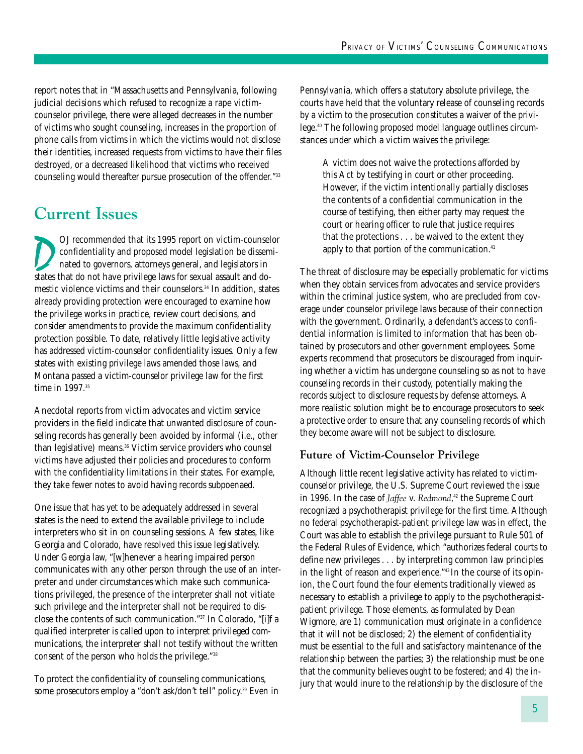report notes that in "Massachusetts and Pennsylvania, following judicial decisions which refused to recognize a rape victimcounselor privilege, there were alleged decreases in the number of victims who sought counseling, increases in the proportion of phone calls from victims in which the victims would not disclose their identities, increased requests from victims to have their files destroyed, or a decreased likelihood that victims who received counseling would thereafter pursue prosecution of the offender."33

### **Current Issues**

OJ recommended that its 1995 report on victim-counselor confidentiality and proposed model legislation be disseminated to governors, attorneys general, and legislators in states that do not have privilege laws for sexual a confidentiality and proposed model legislation be disseminated to governors, attorneys general, and legislators in mestic violence victims and their counselors.34 In addition, states already providing protection were encouraged to examine how the privilege works in practice, review court decisions, and consider amendments to provide the maximum confidentiality protection possible. To date, relatively little legislative activity has addressed victim-counselor confidentiality issues. Only a few states with existing privilege laws amended those laws, and Montana passed a victim-counselor privilege law for the first time in 1997.<sup>35</sup>

Anecdotal reports from victim advocates and victim service providers in the field indicate that unwanted disclosure of counseling records has generally been avoided by informal (i.e., other than legislative) means.<sup>36</sup> Victim service providers who counsel victims have adjusted their policies and procedures to conform with the confidentiality limitations in their states. For example, they take fewer notes to avoid having records subpoenaed.

One issue that has yet to be adequately addressed in several states is the need to extend the available privilege to include interpreters who sit in on counseling sessions. A few states, like Georgia and Colorado, have resolved this issue legislatively. Under Georgia law, "[w]henever a hearing impaired person communicates with any other person through the use of an interpreter and under circumstances which make such communications privileged, the presence of the interpreter shall not vitiate such privilege and the interpreter shall not be required to disclose the contents of such communication."37 In Colorado, "[i]f a qualified interpreter is called upon to interpret privileged communications, the interpreter shall not testify without the written consent of the person who holds the privilege."38

To protect the confidentiality of counseling communications, some prosecutors employ a "don't ask/don't tell" policy.<sup>39</sup> Even in Pennsylvania, which offers a statutory absolute privilege, the courts have held that the voluntary release of counseling records by a victim to the prosecution constitutes a waiver of the privilege.40 The following proposed model language outlines circumstances under which a victim waives the privilege:

A victim does not waive the protections afforded by this Act by testifying in court or other proceeding. However, if the victim intentionally partially discloses the contents of a confidential communication in the course of testifying, then either party may request the court or hearing officer to rule that justice requires that the protections . . . be waived to the extent they apply to that portion of the communication.<sup>41</sup>

The threat of disclosure may be especially problematic for victims when they obtain services from advocates and service providers within the criminal justice system, who are precluded from coverage under counselor privilege laws because of their connection with the government. Ordinarily, a defendant's access to confidential information is limited to information that has been obtained by prosecutors and other government employees. Some experts recommend that prosecutors be discouraged from inquiring whether a victim has undergone counseling so as not to have counseling records in their custody, potentially making the records subject to disclosure requests by defense attorneys. A more realistic solution might be to encourage prosecutors to seek a protective order to ensure that any counseling records of which they become aware will not be subject to disclosure.

#### **Future of Victim-Counselor Privilege**

Although little recent legislative activity has related to victimcounselor privilege, the U.S. Supreme Court reviewed the issue in 1996. In the case of *Jaffee* v. *Redmond*, <sup>42</sup> the Supreme Court recognized a psychotherapist privilege for the first time. Although no federal psychotherapist-patient privilege law was in effect, the Court was able to establish the privilege pursuant to Rule 501 of the Federal Rules of Evidence, which "authorizes federal courts to define new privileges . . . by interpreting common law principles in the light of reason and experience."43 In the course of its opinion, the Court found the four elements traditionally viewed as necessary to establish a privilege to apply to the psychotherapistpatient privilege. Those elements, as formulated by Dean Wigmore, are 1) communication must originate in a confidence that it will not be disclosed; 2) the element of confidentiality must be essential to the full and satisfactory maintenance of the relationship between the parties; 3) the relationship must be one that the community believes ought to be fostered; and 4) the injury that would inure to the relationship by the disclosure of the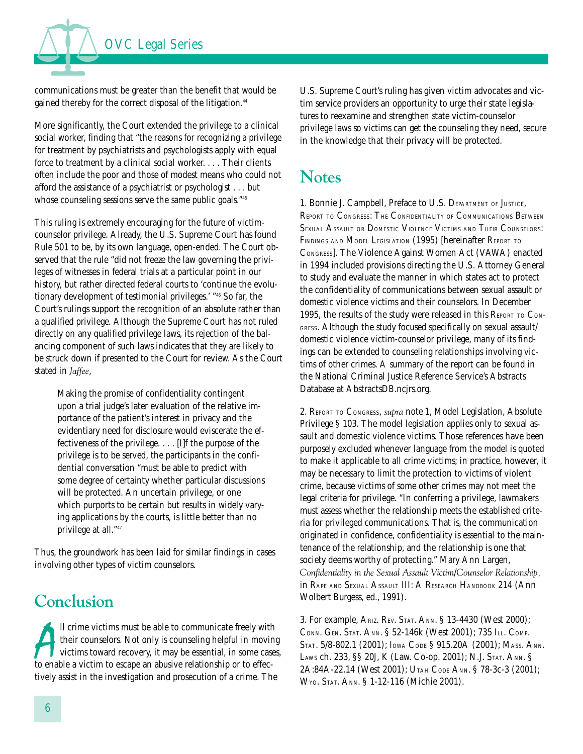communications must be greater than the benefit that would be gained thereby for the correct disposal of the litigation.<sup>44</sup>

OVC Legal Series

More significantly, the Court extended the privilege to a clinical social worker, finding that "the reasons for recognizing a privilege for treatment by psychiatrists and psychologists apply with equal force to treatment by a clinical social worker. . . . Their clients often include the poor and those of modest means who could not afford the assistance of a psychiatrist or psychologist . . . but whose counseling sessions serve the same public goals."<sup>45</sup>

This ruling is extremely encouraging for the future of victimcounselor privilege. Already, the U.S. Supreme Court has found Rule 501 to be, by its own language, open-ended. The Court observed that the rule "did not freeze the law governing the privileges of witnesses in federal trials at a particular point in our history, but rather directed federal courts to 'continue the evolutionary development of testimonial privileges.' "46 So far, the Court's rulings support the recognition of an absolute rather than a qualified privilege. Although the Supreme Court has not ruled directly on any qualified privilege laws, its rejection of the balancing component of such laws indicates that they are likely to be struck down if presented to the Court for review. As the Court stated in *Jaffee*,

Making the promise of confidentiality contingent upon a trial judge's later evaluation of the relative importance of the patient's interest in privacy and the evidentiary need for disclosure would eviscerate the effectiveness of the privilege. . . . [I]f the purpose of the privilege is to be served, the participants in the confidential conversation "must be able to predict with some degree of certainty whether particular discussions will be protected. An uncertain privilege, or one which purports to be certain but results in widely varying applications by the courts, is little better than no privilege at all."47

Thus, the groundwork has been laid for similar findings in cases involving other types of victim counselors.

### **Conclusion**

Il crime victims must be able to communicate freely with their counselors. Not only is counseling helpful in movir victims toward recovery, it may be essential, in some case to enable a victim to escape an abusive relation ll crime victims must be able to communicate freely with their counselors. Not only is counseling helpful in moving victims toward recovery, it may be essential, in some cases, tively assist in the investigation and prosecution of a crime. The

U.S. Supreme Court's ruling has given victim advocates and victim service providers an opportunity to urge their state legislatures to reexamine and strengthen state victim-counselor privilege laws so victims can get the counseling they need, secure in the knowledge that their privacy will be protected.

## **Notes**

1. Bonnie J. Campbell, Preface to U.S. DEPARTMENT OF JUSTICE, REPORT TO CONGRESS: THE CONFIDENTIALITY OF COMMUNICATIONS BETWEEN SEXUAL ASSAULT OR DOMESTIC VIOLENCE VICTIMS AND THEIR COUNSELORS: FINDINGS AND MODEL LEGISLATION (1995) [hereinafter REPORT TO CONGRESS]. The Violence Against Women Act (VAWA) enacted in 1994 included provisions directing the U.S. Attorney General to study and evaluate the manner in which states act to protect the confidentiality of communications between sexual assault or domestic violence victims and their counselors. In December 1995, the results of the study were released in this REPORT TO CON-GRESS. Although the study focused specifically on sexual assault/ domestic violence victim-counselor privilege, many of its findings can be extended to counseling relationships involving victims of other crimes. A summary of the report can be found in the National Criminal Justice Reference Service's Abstracts Database at AbstractsDB.ncjrs.org.

2. REPORT TO CONGRESS, *supra* note 1, Model Legislation, Absolute Privilege § 103. The model legislation applies only to sexual assault and domestic violence victims. Those references have been purposely excluded whenever language from the model is quoted to make it applicable to all crime victims; in practice, however, it may be necessary to limit the protection to victims of violent crime, because victims of some other crimes may not meet the legal criteria for privilege. "In conferring a privilege, lawmakers must assess whether the relationship meets the established criteria for privileged communications. That is, the communication originated in confidence, confidentiality is essential to the maintenance of the relationship, and the relationship is one that society deems worthy of protecting." Mary Ann Largen, *Confidentiality in the Sexual Assault Victim/Counselor Relationship,* in RAPE AND SEXUAL ASSAULT III: A RESEARCH HANDBOOK 214 (Ann Wolbert Burgess, ed., 1991).

3. For example, ARIZ. REV. STAT. ANN. § 13-4430 (West 2000); CONN. GEN. STAT. ANN. § 52-146k (West 2001); 735 ILL. COMP. STAT. 5/8-802.1 (2001); IOWA CODE § 915.20A (2001); MASS. ANN. LAWS ch. 233, §§ 20J, K (Law. Co-op. 2001); N.J. STAT. ANN. § 2A:84A-22.14 (West 2001); UTAH CODE ANN. § 78-3c-3 (2001); WYO. STAT. ANN. § 1-12-116 (Michie 2001).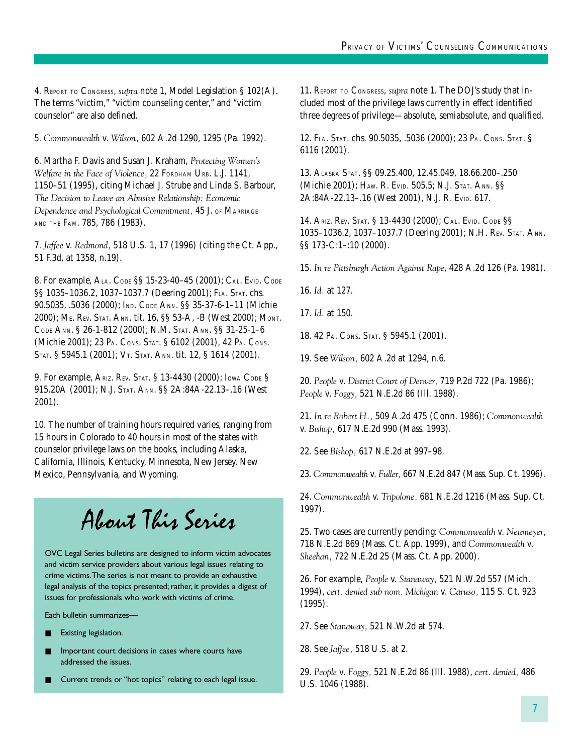4. REPORT TO CONGRESS, *supra* note 1, Model Legislation § 102(A). The terms "victim," "victim counseling center," and "victim counselor" are also defined.

5. *Commonwealth* v. *Wilson,* 602 A.2d 1290, 1295 (Pa. 1992).

6. Martha F. Davis and Susan J. Kraham, *Protecting Women's Welfare in the Face of Violence,* 22 FORDHAM URB. L.J. 1141, 1150–51 (1995), citing Michael J. Strube and Linda S. Barbour, *The Decision to Leave an Abusive Relationship: Economic Dependence and Psychological Commitment,* 45 J. OF MARRIAGE AND THE FAM. 785, 786 (1983).

7. *Jaffee* v. *Redmond,* 518 U.S. 1, 17 (1996) (citing the Ct. App., 51 F.3d, at 1358, n.19).

8. For example, ALA. CODE §§ 15-23-40–45 (2001); CAL. EVID. CODE §§ 1035-1036.2, 1037-1037.7 (Deering 2001); FLA. STAT. chs. 90.5035, .5036 (2000); IND. CODE ANN. §§ 35-37-6-1–11 (Michie 2000); ME. REV. STAT. ANN. tit. 16, §§ 53-A, -B (West 2000); MONT. CODE ANN. § 26-1-812 (2000); N.M. STAT. ANN. §§ 31-25-1–6 (Michie 2001); 23 PA. CONS. STAT. § 6102 (2001), 42 PA. CONS. STAT. § 5945.1 (2001); VT. STAT. ANN. tit. 12, § 1614 (2001).

9. For example, ARIZ. REV. STAT. § 13-4430 (2000); IOWA CODE § 915.20A (2001); N.J. STAT. ANN. §§ 2A:84A-22.13–.16 (West 2001).

10. The number of training hours required varies, ranging from 15 hours in Colorado to 40 hours in most of the states with counselor privilege laws on the books, including Alaska, California, Illinois, Kentucky, Minnesota, New Jersey, New Mexico, Pennsylvania, and Wyoming.

About This Series

OVC Legal Series bulletins are designed to inform victim advocates and victim service providers about various legal issues relating to crime victims.The series is not meant to provide an exhaustive legal analysis of the topics presented; rather, it provides a digest of issues for professionals who work with victims of crime.

Each bulletin summarizes—

- **Existing legislation.**
- Important court decisions in cases where courts have addressed the issues.
- Current trends or "hot topics" relating to each legal issue.

11. REPORT TO CONGRESS, *supra* note 1. The DOJ's study that included most of the privilege laws currently in effect identified three degrees of privilege—absolute, semiabsolute, and qualified.

12. FLA. STAT. chs. 90.5035, .5036 (2000); 23 PA. CONS. STAT. § 6116 (2001).

13. ALASKA STAT. §§ 09.25.400, 12.45.049, 18.66.200–.250 (Michie 2001); HAW. R. EVID. 505.5; N.J. STAT. ANN. §§ 2A:84A-22.13–.16 (West 2001), N.J. R. EVID. 617.

14. ARIZ. REV. STAT. § 13-4430 (2000); CAL. EVID. CODE §§ 1035–1036.2, 1037–1037.7 (Deering 2001); N.H. REV. STAT. ANN. §§ 173-C:1-:10 (2000).

15. *In re Pittsburgh Action Against Rape*, 428 A.2d 126 (Pa. 1981).

16. *Id.* at 127.

17. *Id.* at 150.

18. 42 PA. CONS. STAT. § 5945.1 (2001).

19. See *Wilson,* 602 A.2d at 1294, n.6.

20. *People* v. *District Court of Denver,* 719 P.2d 722 (Pa. 1986); *People* v. *Foggy,* 521 N.E.2d 86 (Ill. 1988).

21. *In re Robert H.,* 509 A.2d 475 (Conn. 1986); *Commonwealth* v. *Bishop,* 617 N.E.2d 990 (Mass. 1993).

22. See *Bishop,* 617 N.E.2d at 997–98.

23. *Commonwealth* v. *Fuller,* 667 N.E.2d 847 (Mass. Sup. Ct. 1996).

24. *Commonwealth* v. *Tripolone,* 681 N.E.2d 1216 (Mass. Sup. Ct. 1997).

25. Two cases are currently pending: *Commonwealth* v. *Neumeyer,* 718 N.E.2d 869 (Mass. Ct. App. 1999), and *Commonwealth* v. *Sheehan,* 722 N.E.2d 25 (Mass. Ct. App. 2000).

26. For example, *People* v. *Stanaway,* 521 N.W.2d 557 (Mich. 1994), *cert. denied sub nom. Michigan* v. *Caruso,* 115 S. Ct. 923 (1995).

27. See *Stanaway,* 521 N.W.2d at 574.

28. See *Jaffee,* 518 U.S. at 2.

29. *People* v. *Foggy,* 521 N.E.2d 86 (Ill. 1988), *cert. denied,* 486 U.S. 1046 (1988).